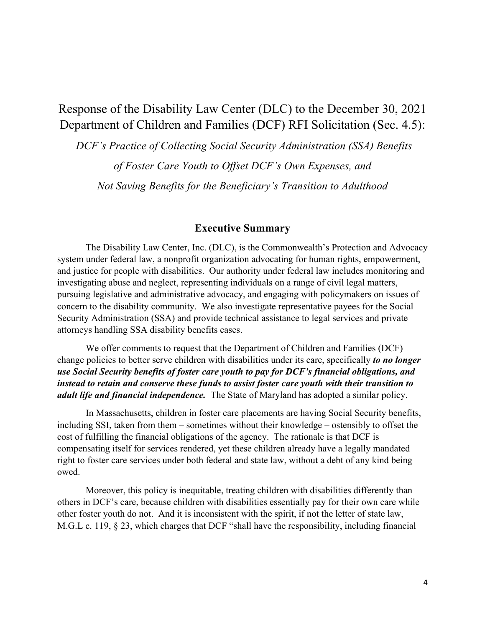# Response of the Disability Law Center (DLC) to the December 30, 2021 Department of Children and Families (DCF) RFI Solicitation (Sec. 4.5):

*DCF's Practice of Collecting Social Security Administration (SSA) Benefits of Foster Care Youth to Offset DCF's Own Expenses, and Not Saving Benefits for the Beneficiary's Transition to Adulthood*

#### **Executive Summary**

The Disability Law Center, Inc. (DLC), is the Commonwealth's Protection and Advocacy system under federal law, a nonprofit organization advocating for human rights, empowerment, and justice for people with disabilities. Our authority under federal law includes monitoring and investigating abuse and neglect, representing individuals on a range of civil legal matters, pursuing legislative and administrative advocacy, and engaging with policymakers on issues of concern to the disability community. We also investigate representative payees for the Social Security Administration (SSA) and provide technical assistance to legal services and private attorneys handling SSA disability benefits cases.

We offer comments to request that the Department of Children and Families (DCF) change policies to better serve children with disabilities under its care, specifically *to no longer use Social Security benefits of foster care youth to pay for DCF's financial obligations, and instead to retain and conserve these funds to assist foster care youth with their transition to adult life and financial independence.* The State of Maryland has adopted a similar policy.

In Massachusetts, children in foster care placements are having Social Security benefits, including SSI, taken from them – sometimes without their knowledge – ostensibly to offset the cost of fulfilling the financial obligations of the agency. The rationale is that DCF is compensating itself for services rendered, yet these children already have a legally mandated right to foster care services under both federal and state law, without a debt of any kind being owed.

Moreover, this policy is inequitable, treating children with disabilities differently than others in DCF's care, because children with disabilities essentially pay for their own care while other foster youth do not. And it is inconsistent with the spirit, if not the letter of state law, M.G.L c. 119, § 23, which charges that DCF "shall have the responsibility, including financial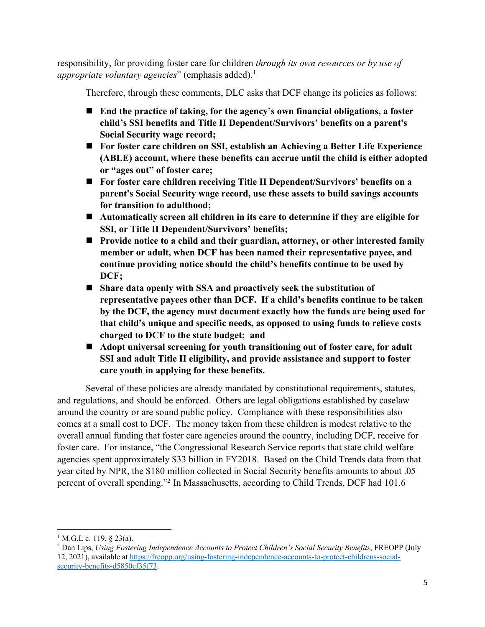responsibility, for providing foster care for children *through its own resources or by use of appropriate voluntary agencies*" (emphasis added).<sup>1</sup>

Therefore, through these comments, DLC asks that DCF change its policies as follows:

- ! **End the practice of taking, for the agency's own financial obligations, a foster child's SSI benefits and Title II Dependent/Survivors' benefits on a parent's Social Security wage record;**
- For foster care children on SSI, establish an Achieving a Better Life Experience **(ABLE) account, where these benefits can accrue until the child is either adopted or "ages out" of foster care;**
- ! **For foster care children receiving Title II Dependent/Survivors' benefits on a parent's Social Security wage record, use these assets to build savings accounts for transition to adulthood;**
- Automatically screen all children in its care to determine if they are eligible for **SSI, or Title II Dependent/Survivors' benefits;**
- Provide notice to a child and their guardian, attorney, or other interested family **member or adult, when DCF has been named their representative payee, and continue providing notice should the child's benefits continue to be used by DCF;**
- ! **Share data openly with SSA and proactively seek the substitution of representative payees other than DCF. If a child's benefits continue to be taken by the DCF, the agency must document exactly how the funds are being used for that child's unique and specific needs, as opposed to using funds to relieve costs charged to DCF to the state budget; and**
- Adopt universal screening for youth transitioning out of foster care, for adult **SSI and adult Title II eligibility, and provide assistance and support to foster care youth in applying for these benefits.**

Several of these policies are already mandated by constitutional requirements, statutes, and regulations, and should be enforced. Others are legal obligations established by caselaw around the country or are sound public policy. Compliance with these responsibilities also comes at a small cost to DCF. The money taken from these children is modest relative to the overall annual funding that foster care agencies around the country, including DCF, receive for foster care. For instance, "the Congressional Research Service reports that state child welfare agencies spent approximately \$33 billion in FY2018. Based on the Child Trends data from that year cited by NPR, the \$180 million collected in Social Security benefits amounts to about .05 percent of overall spending."2 In Massachusetts, according to Child Trends, DCF had 101.6

 $1$  M.G.L c. 119, § 23(a).

<sup>2</sup> Dan Lips, *Using Fostering Independence Accounts to Protect Children's Social Security Benefits*, FREOPP (July 12, 2021), available at https://freopp.org/using-fostering-independence-accounts-to-protect-childrens-socialsecurity-benefits-d5850cf35f73.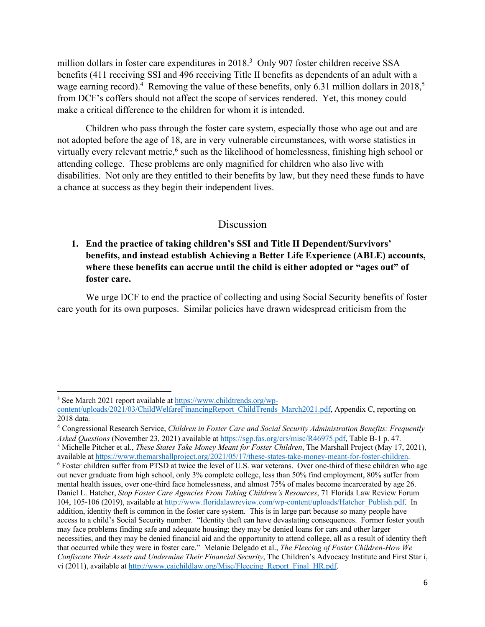million dollars in foster care expenditures in 2018.<sup>3</sup> Only 907 foster children receive SSA benefits (411 receiving SSI and 496 receiving Title II benefits as dependents of an adult with a wage earning record).<sup>4</sup> Removing the value of these benefits, only 6.31 million dollars in 2018,<sup>5</sup> from DCF's coffers should not affect the scope of services rendered. Yet, this money could make a critical difference to the children for whom it is intended.

Children who pass through the foster care system, especially those who age out and are not adopted before the age of 18, are in very vulnerable circumstances, with worse statistics in virtually every relevant metric,<sup>6</sup> such as the likelihood of homelessness, finishing high school or attending college. These problems are only magnified for children who also live with disabilities. Not only are they entitled to their benefits by law, but they need these funds to have a chance at success as they begin their independent lives.

#### Discussion

# **1. End the practice of taking children's SSI and Title II Dependent/Survivors' benefits, and instead establish Achieving a Better Life Experience (ABLE) accounts, where these benefits can accrue until the child is either adopted or "ages out" of foster care.**

We urge DCF to end the practice of collecting and using Social Security benefits of foster care youth for its own purposes. Similar policies have drawn widespread criticism from the

<sup>3</sup> See March 2021 report available at https://www.childtrends.org/wp-

content/uploads/2021/03/ChildWelfareFinancingReport\_ChildTrends\_March2021.pdf, Appendix C, reporting on 2018 data.

<sup>4</sup> Congressional Research Service, *Children in Foster Care and Social Security Administration Benefits: Frequently Asked Questions* (November 23, 2021) available at https://sgp.fas.org/crs/misc/R46975.pdf, Table B-1 p. 47.

<sup>5</sup> Michelle Pitcher et al., *These States Take Money Meant for Foster Children*, The Marshall Project (May 17, 2021),

available at https://www.themarshallproject.org/2021/05/17/these-states-take-money-meant-for-foster-children.<br><sup>6</sup> Foster children suffer from PTSD at twice the level of U.S. war veterans. Over one-third of these children w out never graduate from high school, only 3% complete college, less than 50% find employment, 80% suffer from mental health issues, over one-third face homelessness, and almost 75% of males become incarcerated by age 26. Daniel L. Hatcher, *Stop Foster Care Agencies From Taking Children's Resources*, 71 Florida Law Review Forum 104, 105-106 (2019), available at http://www.floridalawreview.com/wp-content/uploads/Hatcher\_Publish.pdf. In addition, identity theft is common in the foster care system. This is in large part because so many people have access to a child's Social Security number. "Identity theft can have devastating consequences. Former foster youth may face problems finding safe and adequate housing; they may be denied loans for cars and other larger necessities, and they may be denied financial aid and the opportunity to attend college, all as a result of identity theft that occurred while they were in foster care." Melanie Delgado et al., *The Fleecing of Foster Children-How We Confiscate Their Assets and Undermine Their Financial Security*, The Children's Advocacy Institute and First Star i, vi (2011), available at http://www.caichildlaw.org/Misc/Fleecing\_Report\_Final\_HR.pdf.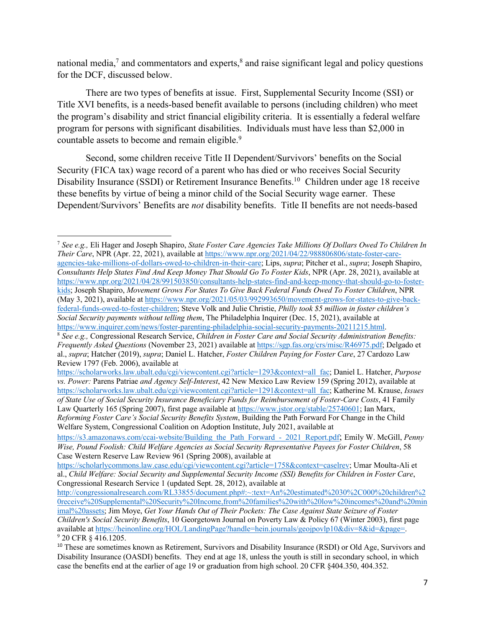national media,<sup>7</sup> and commentators and experts,<sup>8</sup> and raise significant legal and policy questions for the DCF, discussed below.

There are two types of benefits at issue. First, Supplemental Security Income (SSI) or Title XVI benefits, is a needs-based benefit available to persons (including children) who meet the program's disability and strict financial eligibility criteria. It is essentially a federal welfare program for persons with significant disabilities. Individuals must have less than \$2,000 in countable assets to become and remain eligible.<sup>9</sup>

Second, some children receive Title II Dependent/Survivors' benefits on the Social Security (FICA tax) wage record of a parent who has died or who receives Social Security Disability Insurance (SSDI) or Retirement Insurance Benefits.<sup>10</sup> Children under age 18 receive these benefits by virtue of being a minor child of the Social Security wage earner. These Dependent/Survivors' Benefits are *not* disability benefits. Title II benefits are not needs-based

<sup>7</sup> *See e.g.,* Eli Hager and Joseph Shapiro, *State Foster Care Agencies Take Millions Of Dollars Owed To Children In Their Care*, NPR (Apr. 22, 2021), available at https://www.npr.org/2021/04/22/988806806/state-foster-careagencies-take-millions-of-dollars-owed-to-children-in-their-care; Lips, *supra*; Pitcher et al., *supra*; Joseph Shapiro, *Consultants Help States Find And Keep Money That Should Go To Foster Kids*, NPR (Apr. 28, 2021), available at https://www.npr.org/2021/04/28/991503850/consultants-help-states-find-and-keep-money-that-should-go-to-fosterkids; Joseph Shapiro, *Movement Grows For States To Give Back Federal Funds Owed To Foster Children*, NPR (May 3, 2021), available at https://www.npr.org/2021/05/03/992993650/movement-grows-for-states-to-give-backfederal-funds-owed-to-foster-children; Steve Volk and Julie Christie, *Philly took \$5 million in foster children's Social Security payments without telling them*, The Philadelphia Inquirer (Dec. 15, 2021), available at https://www.inquirer.com/news/foster-parenting-philadelphia-social-security-payments-20211215.html.

<sup>&</sup>lt;sup>8</sup> See e.g., Congressional Research Service, Children in Foster Care and Social Security Administration Benefits: *Frequently Asked Questions* (November 23, 2021) available at https://sgp.fas.org/crs/misc/R46975.pdf; Delgado et al., *supra*; Hatcher (2019), *supra*; Daniel L. Hatcher, *Foster Children Paying for Foster Care*, 27 Cardozo Law Review 1797 (Feb. 2006), available at

https://scholarworks.law.ubalt.edu/cgi/viewcontent.cgi?article=1293&context=all\_fac; Daniel L. Hatcher, *Purpose vs. Power:* Parens Patriae *and Agency Self-Interest*, 42 New Mexico Law Review 159 (Spring 2012), available at https://scholarworks.law.ubalt.edu/cgi/viewcontent.cgi?article=1291&context=all\_fac; Katherine M. Krause, *Issues of State Use of Social Security Insurance Beneficiary Funds for Reimbursement of Foster-Care Costs*, 41 Family Law Quarterly 165 (Spring 2007), first page available at https://www.jstor.org/stable/25740601; Ian Marx, *Reforming Foster Care's Social Security Benefits System*, Building the Path Forward For Change in the Child Welfare System, Congressional Coalition on Adoption Institute, July 2021, available at

https://s3.amazonaws.com/ccai-website/Building\_the\_Path\_Forward\_-\_2021\_Report.pdf; Emily W. McGill, *Penny Wise, Pound Foolish: Child Welfare Agencies as Social Security Representative Payees for Foster Children*, 58 Case Western Reserve Law Review 961 (Spring 2008), available at

https://scholarlycommons.law.case.edu/cgi/viewcontent.cgi?article=1758&context=caselrev; Umar Moulta-Ali et al., *Child Welfare: Social Security and Supplemental Security Income (SSI) Benefits for Children in Foster Care*, Congressional Research Service 1 (updated Sept. 28, 2012), available at

http://congressionalresearch.com/RL33855/document.php#:~:text=An%20estimated%2030%2C000%20children%2 0receive%20Supplemental%20Security%20Income,from%20families%20with%20low%20incomes%20and%20min

imal%20assets; Jim Moye, *Get Your Hands Out of Their Pockets: The Case Against State Seizure of Foster Children's Social Security Benefits*, 10 Georgetown Journal on Poverty Law & Policy 67 (Winter 2003), first page available at https://heinonline.org/HOL/LandingPage?handle=hein.journals/geojpovlp10&div=8&id=&page=. <sup>9</sup> 20 CFR § 416.1205.

<sup>&</sup>lt;sup>10</sup> These are sometimes known as Retirement, Survivors and Disability Insurance (RSDI) or Old Age, Survivors and Disability Insurance (OASDI) benefits. They end at age 18, unless the youth is still in secondary school, in which case the benefits end at the earlier of age 19 or graduation from high school. 20 CFR §404.350, 404.352.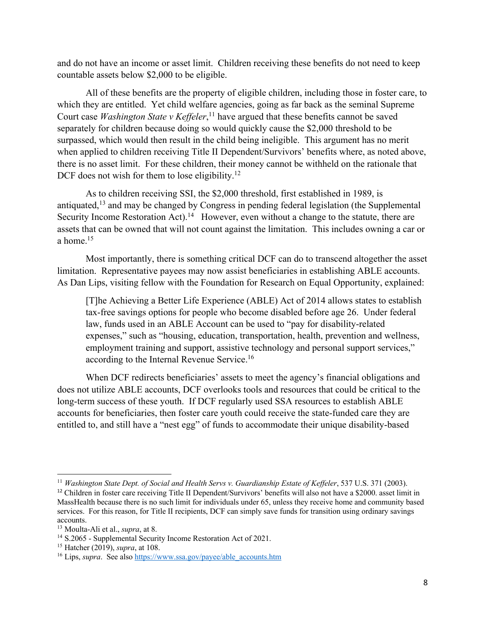and do not have an income or asset limit. Children receiving these benefits do not need to keep countable assets below \$2,000 to be eligible.

All of these benefits are the property of eligible children, including those in foster care, to which they are entitled. Yet child welfare agencies, going as far back as the seminal Supreme Court case *Washington State v Keffeler*, <sup>11</sup> have argued that these benefits cannot be saved separately for children because doing so would quickly cause the \$2,000 threshold to be surpassed, which would then result in the child being ineligible. This argument has no merit when applied to children receiving Title II Dependent/Survivors' benefits where, as noted above, there is no asset limit. For these children, their money cannot be withheld on the rationale that DCF does not wish for them to lose eligibility.<sup>12</sup>

As to children receiving SSI, the \$2,000 threshold, first established in 1989, is antiquated,<sup>13</sup> and may be changed by Congress in pending federal legislation (the Supplemental Security Income Restoration Act).<sup>14</sup> However, even without a change to the statute, there are assets that can be owned that will not count against the limitation. This includes owning a car or a home. 15

Most importantly, there is something critical DCF can do to transcend altogether the asset limitation. Representative payees may now assist beneficiaries in establishing ABLE accounts. As Dan Lips, visiting fellow with the Foundation for Research on Equal Opportunity, explained:

[T]he Achieving a Better Life Experience (ABLE) Act of 2014 allows states to establish tax-free savings options for people who become disabled before age 26. Under federal law, funds used in an ABLE Account can be used to "pay for disability-related expenses," such as "housing, education, transportation, health, prevention and wellness, employment training and support, assistive technology and personal support services," according to the Internal Revenue Service.<sup>16</sup>

When DCF redirects beneficiaries' assets to meet the agency's financial obligations and does not utilize ABLE accounts, DCF overlooks tools and resources that could be critical to the long-term success of these youth. If DCF regularly used SSA resources to establish ABLE accounts for beneficiaries, then foster care youth could receive the state-funded care they are entitled to, and still have a "nest egg" of funds to accommodate their unique disability-based

<sup>11</sup> *Washington State Dept. of Social and Health Servs v. Guardianship Estate of Keffeler*, 537 U.S. 371 (2003).

<sup>&</sup>lt;sup>12</sup> Children in foster care receiving Title II Dependent/Survivors' benefits will also not have a \$2000. asset limit in MassHealth because there is no such limit for individuals under 65, unless they receive home and community based services. For this reason, for Title II recipients, DCF can simply save funds for transition using ordinary savings accounts.

<sup>13</sup> Moulta-Ali et al., *supra*, at 8.

<sup>&</sup>lt;sup>14</sup> S.2065 - Supplemental Security Income Restoration Act of 2021.

<sup>15</sup> Hatcher (2019), *supra*, at 108.

<sup>&</sup>lt;sup>16</sup> Lips, *supra*. See also https://www.ssa.gov/payee/able\_accounts.htm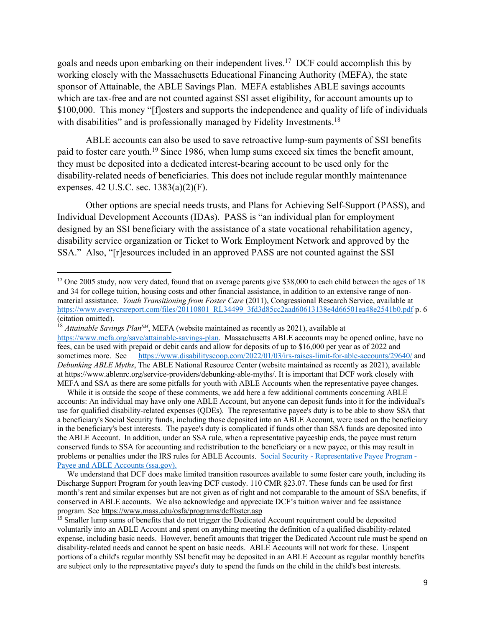goals and needs upon embarking on their independent lives.<sup>17</sup> DCF could accomplish this by working closely with the Massachusetts Educational Financing Authority (MEFA), the state sponsor of Attainable, the ABLE Savings Plan. MEFA establishes ABLE savings accounts which are tax-free and are not counted against SSI asset eligibility, for account amounts up to \$100,000. This money "[f]osters and supports the independence and quality of life of individuals with disabilities" and is professionally managed by Fidelity Investments.<sup>18</sup>

ABLE accounts can also be used to save retroactive lump-sum payments of SSI benefits paid to foster care youth.19 Since 1986, when lump sums exceed six times the benefit amount, they must be deposited into a dedicated interest-bearing account to be used only for the disability-related needs of beneficiaries. This does not include regular monthly maintenance expenses. 42 U.S.C. sec. 1383(a)(2)(F).

Other options are special needs trusts, and Plans for Achieving Self-Support (PASS), and Individual Development Accounts (IDAs). PASS is "an individual plan for employment designed by an SSI beneficiary with the assistance of a state vocational rehabilitation agency, disability service organization or Ticket to Work Employment Network and approved by the SSA." Also, "[r]esources included in an approved PASS are not counted against the SSI

<sup>&</sup>lt;sup>17</sup> One 2005 study, now very dated, found that on average parents give \$38,000 to each child between the ages of 18 and 34 for college tuition, housing costs and other financial assistance, in addition to an extensive range of nonmaterial assistance. *Youth Transitioning from Foster Care* (2011), Congressional Research Service, available at https://www.everycrsreport.com/files/20110801\_RL34499\_3fd3d85cc2aad60613138e4d66501ea48e2541b0.pdf p. 6 (citation omitted).

<sup>&</sup>lt;sup>18</sup> *Attainable Savings Plan<sup>SM</sup>*, MEFA (website maintained as recently as 2021), available at https://www.mefa.org/save/attainable-savings-plan. Massachusetts ABLE accounts may be opened online, have no fees, can be used with prepaid or debit cards and allow for deposits of up to \$16,000 per year as of 2022 and sometimes more. See https://www.disabilityscoop.com/2022/01/03/irs-raises-limit-for-able-accounts/29640/ and *Debunking ABLE Myths*, The ABLE National Resource Center (website maintained as recently as 2021), available at https://www.ablenrc.org/service-providers/debunking-able-myths/. It is important that DCF work closely with MEFA and SSA as there are some pitfalls for youth with ABLE Accounts when the representative payee changes.

While it is outside the scope of these comments, we add here a few additional comments concerning ABLE accounts: An individual may have only one ABLE Account, but anyone can deposit funds into it for the individual's use for qualified disability-related expenses (QDEs). The representative payee's duty is to be able to show SSA that a beneficiary's Social Security funds, including those deposited into an ABLE Account, were used on the beneficiary in the beneficiary's best interests. The payee's duty is complicated if funds other than SSA funds are deposited into the ABLE Account. In addition, under an SSA rule, when a representative payeeship ends, the payee must return conserved funds to SSA for accounting and redistribution to the beneficiary or a new payee, or this may result in problems or penalties under the IRS rules for ABLE Accounts. Social Security - Representative Payee Program - Payee and ABLE Accounts (ssa.gov).

We understand that DCF does make limited transition resources available to some foster care youth, including its Discharge Support Program for youth leaving DCF custody. 110 CMR §23.07. These funds can be used for first month's rent and similar expenses but are not given as of right and not comparable to the amount of SSA benefits, if conserved in ABLE accounts. We also acknowledge and appreciate DCF's tuition waiver and fee assistance program. See https://www.mass.edu/osfa/programs/dcffoster.asp

<sup>&</sup>lt;sup>19</sup> Smaller lump sums of benefits that do not trigger the Dedicated Account requirement could be deposited voluntarily into an ABLE Account and spent on anything meeting the definition of a qualified disability-related expense, including basic needs. However, benefit amounts that trigger the Dedicated Account rule must be spend on disability-related needs and cannot be spent on basic needs. ABLE Accounts will not work for these. Unspent portions of a child's regular monthly SSI benefit may be deposited in an ABLE Account as regular monthly benefits are subject only to the representative payee's duty to spend the funds on the child in the child's best interests.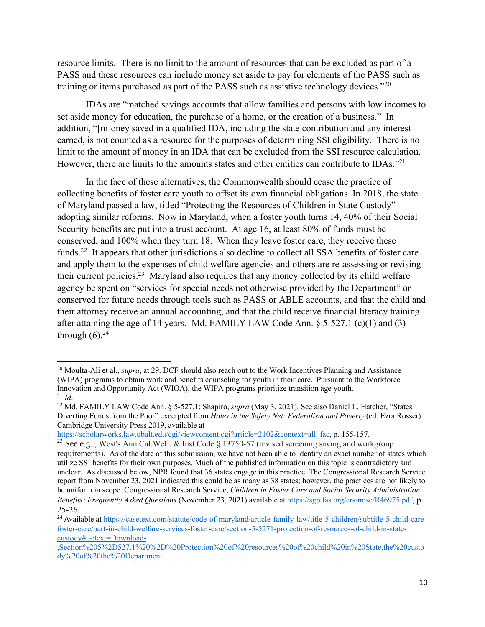resource limits. There is no limit to the amount of resources that can be excluded as part of a PASS and these resources can include money set aside to pay for elements of the PASS such as training or items purchased as part of the PASS such as assistive technology devices."<sup>20</sup>

IDAs are "matched savings accounts that allow families and persons with low incomes to set aside money for education, the purchase of a home, or the creation of a business." In addition, "[m]oney saved in a qualified IDA, including the state contribution and any interest earned, is not counted as a resource for the purposes of determining SSI eligibility. There is no limit to the amount of money in an IDA that can be excluded from the SSI resource calculation. However, there are limits to the amounts states and other entities can contribute to IDAs."<sup>21</sup>

In the face of these alternatives, the Commonwealth should cease the practice of collecting benefits of foster care youth to offset its own financial obligations. In 2018, the state of Maryland passed a law, titled "Protecting the Resources of Children in State Custody" adopting similar reforms. Now in Maryland, when a foster youth turns 14, 40% of their Social Security benefits are put into a trust account. At age 16, at least 80% of funds must be conserved, and 100% when they turn 18. When they leave foster care, they receive these funds.<sup>22</sup> It appears that other jurisdictions also decline to collect all SSA benefits of foster care and apply them to the expenses of child welfare agencies and others are re-assessing or revising their current policies.<sup>23</sup> Maryland also requires that any money collected by its child welfare agency be spent on "services for special needs not otherwise provided by the Department" or conserved for future needs through tools such as PASS or ABLE accounts, and that the child and their attorney receive an annual accounting, and that the child receive financial literacy training after attaining the age of 14 years. Md. FAMILY LAW Code Ann.  $\S$  5-527.1 (c)(1) and (3) through  $(6)$ .<sup>24</sup>

https://scholarworks.law.ubalt.edu/cgi/viewcontent.cgi?article=2102&context=all\_fac, p. 155-157.

<sup>&</sup>lt;sup>20</sup> Moulta-Ali et al., *supra*, at 29. DCF should also reach out to the Work Incentives Planning and Assistance (WIPA) programs to obtain work and benefits counseling for youth in their care. Pursuant to the Workforce Innovation and Opportunity Act (WIOA), the WIPA programs prioritize transition age youth. <sup>21</sup> *Id*.

<sup>22</sup> Md. FAMILY LAW Code Ann. § 5-527.1; Shapiro, *supra* (May 3, 2021). See also Daniel L. Hatcher, "States Diverting Funds from the Poor" excerpted from *Holes in the Safety Net: Federalism and Poverty* (ed. Ezra Rosser) Cambridge University Press 2019, available at

<sup>&</sup>lt;sup>23</sup> See e.g.., West's Ann.Cal.Welf. & Inst.Code § 13750-57 (revised screening saving and workgroup requirements). As of the date of this submission, we have not been able to identify an exact number of states which utilize SSI benefits for their own purposes. Much of the published information on this topic is contradictory and unclear. As discussed below, NPR found that 36 states engage in this practice. The Congressional Research Service report from November 23, 2021 indicated this could be as many as 38 states; however, the practices are not likely to be uniform in scope. Congressional Research Service, *Children in Foster Care and Social Security Administration Benefits: Frequently Asked Questions* (November 23, 2021) available at https://sgp.fas.org/crs/misc/R46975.pdf, p. 25-26.

<sup>24</sup> Available at https://casetext.com/statute/code-of-maryland/article-family-law/title-5-children/subtitle-5-child-carefoster-care/part-iii-child-welfare-services-foster-care/section-5-5271-protection-of-resources-of-child-in-statecustody#:~:text=Download-

<sup>,</sup>Section%205%2D527.1%20%2D%20Protection%20of%20resources%20of%20child%20in%20State,the%20custo dy%20of%20the%20Department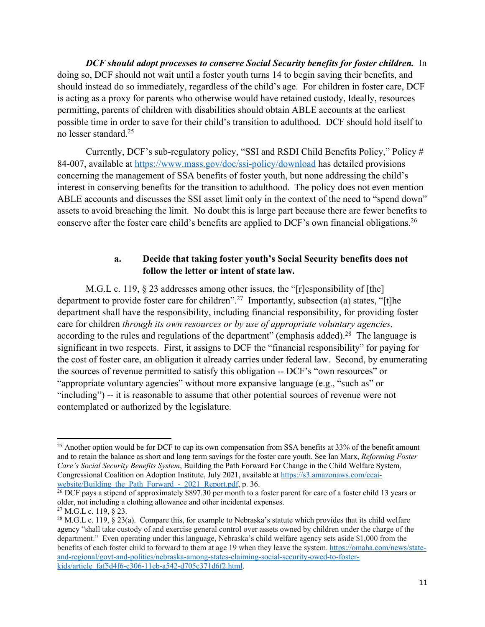*DCF should adopt processes to conserve Social Security benefits for foster children.* In doing so, DCF should not wait until a foster youth turns 14 to begin saving their benefits, and should instead do so immediately, regardless of the child's age. For children in foster care, DCF is acting as a proxy for parents who otherwise would have retained custody, Ideally, resources permitting, parents of children with disabilities should obtain ABLE accounts at the earliest possible time in order to save for their child's transition to adulthood. DCF should hold itself to no lesser standard.25

Currently, DCF's sub-regulatory policy, "SSI and RSDI Child Benefits Policy," Policy # 84-007, available at https://www.mass.gov/doc/ssi-policy/download has detailed provisions concerning the management of SSA benefits of foster youth, but none addressing the child's interest in conserving benefits for the transition to adulthood. The policy does not even mention ABLE accounts and discusses the SSI asset limit only in the context of the need to "spend down" assets to avoid breaching the limit. No doubt this is large part because there are fewer benefits to conserve after the foster care child's benefits are applied to DCF's own financial obligations.26

## **a. Decide that taking foster youth's Social Security benefits does not follow the letter or intent of state law.**

M.G.L c. 119,  $\S 23$  addresses among other issues, the "[r]esponsibility of [the] department to provide foster care for children".<sup>27</sup> Importantly, subsection (a) states, "[t]he department shall have the responsibility, including financial responsibility, for providing foster care for children *through its own resources or by use of appropriate voluntary agencies,* according to the rules and regulations of the department" (emphasis added).<sup>28</sup> The language is significant in two respects. First, it assigns to DCF the "financial responsibility" for paying for the cost of foster care, an obligation it already carries under federal law. Second, by enumerating the sources of revenue permitted to satisfy this obligation -- DCF's "own resources" or "appropriate voluntary agencies" without more expansive language (e.g., "such as" or "including") -- it is reasonable to assume that other potential sources of revenue were not contemplated or authorized by the legislature.

<sup>&</sup>lt;sup>25</sup> Another option would be for DCF to cap its own compensation from SSA benefits at 33% of the benefit amount and to retain the balance as short and long term savings for the foster care youth. See Ian Marx, *Reforming Foster Care's Social Security Benefits System*, Building the Path Forward For Change in the Child Welfare System, Congressional Coalition on Adoption Institute, July 2021, available at https://s3.amazonaws.com/ccaiwebsite/Building the Path Forward - 2021 Report.pdf, p. 36.

 $26$  DCF pays a stipend of approximately \$897.30 per month to a foster parent for care of a foster child 13 years or older, not including a clothing allowance and other incidental expenses.

<sup>27</sup> M.G.L c. 119, § 23.

<sup>&</sup>lt;sup>28</sup> M.G.L c. 119, § 23(a). Compare this, for example to Nebraska's statute which provides that its child welfare agency "shall take custody of and exercise general control over assets owned by children under the charge of the department." Even operating under this language, Nebraska's child welfare agency sets aside \$1,000 from the benefits of each foster child to forward to them at age 19 when they leave the system. https://omaha.com/news/stateand-regional/govt-and-politics/nebraska-among-states-claiming-social-security-owed-to-fosterkids/article\_faf5d4f6-c306-11eb-a542-d705c371d6f2.html.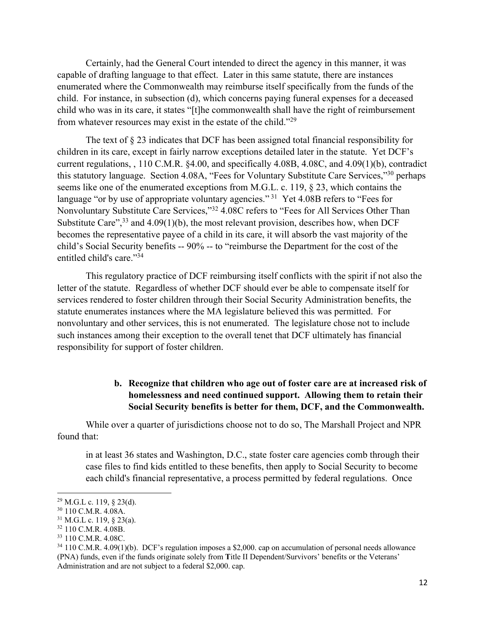Certainly, had the General Court intended to direct the agency in this manner, it was capable of drafting language to that effect. Later in this same statute, there are instances enumerated where the Commonwealth may reimburse itself specifically from the funds of the child. For instance, in subsection (d), which concerns paying funeral expenses for a deceased child who was in its care, it states "[t]he commonwealth shall have the right of reimbursement from whatever resources may exist in the estate of the child."29

The text of  $\S 23$  indicates that DCF has been assigned total financial responsibility for children in its care, except in fairly narrow exceptions detailed later in the statute. Yet DCF's current regulations, , 110 C.M.R. §4.00, and specifically 4.08B, 4.08C, and 4.09(1)(b), contradict this statutory language. Section 4.08A, "Fees for Voluntary Substitute Care Services,"30 perhaps seems like one of the enumerated exceptions from M.G.L. c. 119, § 23, which contains the language "or by use of appropriate voluntary agencies."<sup>31</sup> Yet 4.08B refers to "Fees for Nonvoluntary Substitute Care Services,"32 4.08C refers to "Fees for All Services Other Than Substitute Care",  $33$  and  $4.09(1)(b)$ , the most relevant provision, describes how, when DCF becomes the representative payee of a child in its care, it will absorb the vast majority of the child's Social Security benefits -- 90% -- to "reimburse the Department for the cost of the entitled child's care."34

This regulatory practice of DCF reimbursing itself conflicts with the spirit if not also the letter of the statute. Regardless of whether DCF should ever be able to compensate itself for services rendered to foster children through their Social Security Administration benefits, the statute enumerates instances where the MA legislature believed this was permitted. For nonvoluntary and other services, this is not enumerated. The legislature chose not to include such instances among their exception to the overall tenet that DCF ultimately has financial responsibility for support of foster children.

## **b. Recognize that children who age out of foster care are at increased risk of homelessness and need continued support. Allowing them to retain their Social Security benefits is better for them, DCF, and the Commonwealth.**

While over a quarter of jurisdictions choose not to do so, The Marshall Project and NPR found that:

in at least 36 states and Washington, D.C., state foster care agencies comb through their case files to find kids entitled to these benefits, then apply to Social Security to become each child's financial representative, a process permitted by federal regulations. Once

 $29$  M.G.L c. 119, § 23(d).

<sup>30</sup> 110 C.M.R. 4.08A.

 $31$  M.G.L c. 119, § 23(a).

<sup>32</sup> 110 C.M.R. 4.08B.

<sup>33</sup> 110 C.M.R. 4.08C.

<sup>34</sup> 110 C.M.R. 4.09(1)(b). DCF's regulation imposes a \$2,000. cap on accumulation of personal needs allowance (PNA) funds, even if the funds originate solely from **T**itle II Dependent/Survivors' benefits or the Veterans' Administration and are not subject to a federal \$2,000. cap.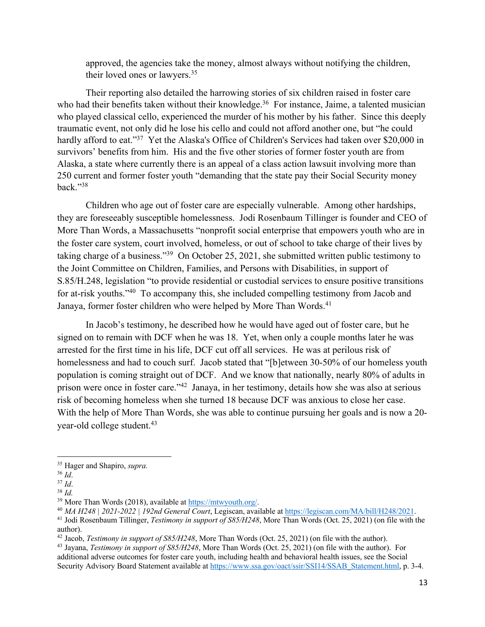approved, the agencies take the money, almost always without notifying the children, their loved ones or lawyers.35

Their reporting also detailed the harrowing stories of six children raised in foster care who had their benefits taken without their knowledge.<sup>36</sup> For instance, Jaime, a talented musician who played classical cello, experienced the murder of his mother by his father. Since this deeply traumatic event, not only did he lose his cello and could not afford another one, but "he could hardly afford to eat."<sup>37</sup> Yet the Alaska's Office of Children's Services had taken over \$20,000 in survivors' benefits from him. His and the five other stories of former foster youth are from Alaska, a state where currently there is an appeal of a class action lawsuit involving more than 250 current and former foster youth "demanding that the state pay their Social Security money back."38

Children who age out of foster care are especially vulnerable. Among other hardships, they are foreseeably susceptible homelessness. Jodi Rosenbaum Tillinger is founder and CEO of More Than Words, a Massachusetts "nonprofit social enterprise that empowers youth who are in the foster care system, court involved, homeless, or out of school to take charge of their lives by taking charge of a business."39 On October 25, 2021, she submitted written public testimony to the Joint Committee on Children, Families, and Persons with Disabilities, in support of S.85/H.248, legislation "to provide residential or custodial services to ensure positive transitions for at-risk youths."40 To accompany this, she included compelling testimony from Jacob and Janaya, former foster children who were helped by More Than Words.<sup>41</sup>

In Jacob's testimony, he described how he would have aged out of foster care, but he signed on to remain with DCF when he was 18. Yet, when only a couple months later he was arrested for the first time in his life, DCF cut off all services. He was at perilous risk of homelessness and had to couch surf. Jacob stated that "[b]etween 30-50% of our homeless youth population is coming straight out of DCF. And we know that nationally, nearly 80% of adults in prison were once in foster care."42 Janaya, in her testimony, details how she was also at serious risk of becoming homeless when she turned 18 because DCF was anxious to close her case. With the help of More Than Words, she was able to continue pursuing her goals and is now a 20 year-old college student.<sup>43</sup>

<sup>40</sup> MA H248 | 2021-2022 | 192nd General Court, Legiscan, available at  $\frac{https://legiscan.com/MA/bill/H248/2021}{https://legiscan.com/MA/bill/H248/2021}$ .<br><sup>41</sup> Jodi Rosenbaum Tillinger, *Testimony in support of S85/H248*, More Than Words (Oct. 25, 2021) (on

<sup>35</sup> Hager and Shapiro, *supra.*

<sup>36</sup> *Id*.

<sup>37</sup> *Id*.

<sup>&</sup>lt;sup>38</sup> *Id.* **Once Than Words (2018), available at https://mtwyouth.org/.** 

author).

<sup>42</sup> Jacob, *Testimony in support of S85/H248*, More Than Words (Oct. 25, 2021) (on file with the author).

<sup>43</sup> Jayana, *Testimony in support of S85/H248*, More Than Words (Oct. 25, 2021) (on file with the author). For additional adverse outcomes for foster care youth, including health and behavioral health issues, see the Social Security Advisory Board Statement available at https://www.ssa.gov/oact/ssir/SSI14/SSAB\_Statement.html, p. 3-4.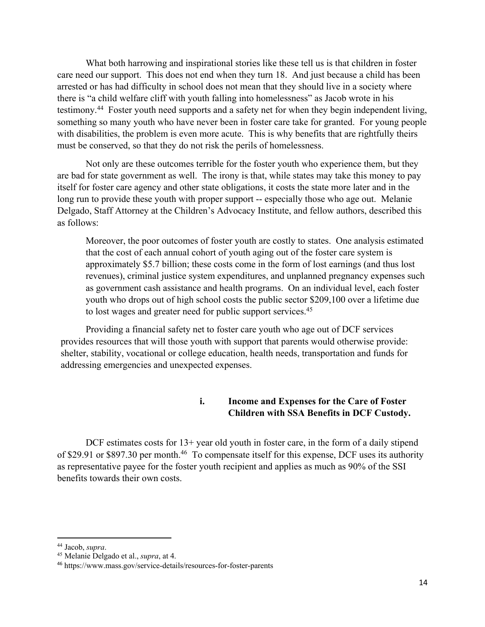What both harrowing and inspirational stories like these tell us is that children in foster care need our support. This does not end when they turn 18. And just because a child has been arrested or has had difficulty in school does not mean that they should live in a society where there is "a child welfare cliff with youth falling into homelessness" as Jacob wrote in his testimony.44 Foster youth need supports and a safety net for when they begin independent living, something so many youth who have never been in foster care take for granted. For young people with disabilities, the problem is even more acute. This is why benefits that are rightfully theirs must be conserved, so that they do not risk the perils of homelessness.

Not only are these outcomes terrible for the foster youth who experience them, but they are bad for state government as well. The irony is that, while states may take this money to pay itself for foster care agency and other state obligations, it costs the state more later and in the long run to provide these youth with proper support -- especially those who age out. Melanie Delgado, Staff Attorney at the Children's Advocacy Institute, and fellow authors, described this as follows:

Moreover, the poor outcomes of foster youth are costly to states. One analysis estimated that the cost of each annual cohort of youth aging out of the foster care system is approximately \$5.7 billion; these costs come in the form of lost earnings (and thus lost revenues), criminal justice system expenditures, and unplanned pregnancy expenses such as government cash assistance and health programs. On an individual level, each foster youth who drops out of high school costs the public sector \$209,100 over a lifetime due to lost wages and greater need for public support services.<sup>45</sup>

Providing a financial safety net to foster care youth who age out of DCF services provides resources that will those youth with support that parents would otherwise provide: shelter, stability, vocational or college education, health needs, transportation and funds for addressing emergencies and unexpected expenses.

## **i. Income and Expenses for the Care of Foster Children with SSA Benefits in DCF Custody.**

DCF estimates costs for 13+ year old youth in foster care, in the form of a daily stipend of \$29.91 or \$897.30 per month.<sup>46</sup> To compensate itself for this expense, DCF uses its authority as representative payee for the foster youth recipient and applies as much as 90% of the SSI benefits towards their own costs.

<sup>44</sup> Jacob, *supra*.

<sup>45</sup> Melanie Delgado et al., *supra*, at 4.

<sup>46</sup> https://www.mass.gov/service-details/resources-for-foster-parents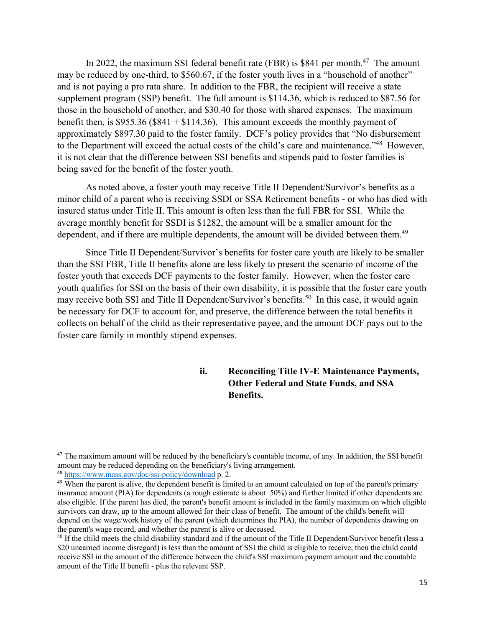In 2022, the maximum SSI federal benefit rate (FBR) is \$841 per month.<sup>47</sup> The amount may be reduced by one-third, to \$560.67, if the foster youth lives in a "household of another" and is not paying a pro rata share. In addition to the FBR, the recipient will receive a state supplement program (SSP) benefit. The full amount is \$114.36, which is reduced to \$87.56 for those in the household of another, and \$30.40 for those with shared expenses. The maximum benefit then, is \$955.36 (\$841 + \$114.36). This amount exceeds the monthly payment of approximately \$897.30 paid to the foster family. DCF's policy provides that "No disbursement to the Department will exceed the actual costs of the child's care and maintenance."48 However, it is not clear that the difference between SSI benefits and stipends paid to foster families is being saved for the benefit of the foster youth.

As noted above, a foster youth may receive Title II Dependent/Survivor's benefits as a minor child of a parent who is receiving SSDI or SSA Retirement benefits - or who has died with insured status under Title II. This amount is often less than the full FBR for SSI. While the average monthly benefit for SSDI is \$1282, the amount will be a smaller amount for the dependent, and if there are multiple dependents, the amount will be divided between them.<sup>49</sup>

Since Title II Dependent/Survivor's benefits for foster care youth are likely to be smaller than the SSI FBR, Title II benefits alone are less likely to present the scenario of income of the foster youth that exceeds DCF payments to the foster family. However, when the foster care youth qualifies for SSI on the basis of their own disability, it is possible that the foster care youth may receive both SSI and Title II Dependent/Survivor's benefits.<sup>50</sup> In this case, it would again be necessary for DCF to account for, and preserve, the difference between the total benefits it collects on behalf of the child as their representative payee, and the amount DCF pays out to the foster care family in monthly stipend expenses.

## **ii. Reconciling Title IV-E Maintenance Payments, Other Federal and State Funds, and SSA Benefits.**

 $47$  The maximum amount will be reduced by the beneficiary's countable income, of any. In addition, the SSI benefit amount may be reduced depending on the beneficiary's living arrangement.

<sup>48</sup> https://www.mass.gov/doc/ssi-policy/download p. 2.

<sup>&</sup>lt;sup>49</sup> When the parent is alive, the dependent benefit is limited to an amount calculated on top of the parent's primary insurance amount (PIA) for dependents (a rough estimate is about 50%) and further limited if other dependents are also eligible. If the parent has died, the parent's benefit amount is included in the family maximum on which eligible survivors can draw, up to the amount allowed for their class of benefit. The amount of the child's benefit will depend on the wage/work history of the parent (which determines the PIA), the number of dependents drawing on the parent's wage record, and whether the parent is alive or deceased.

<sup>&</sup>lt;sup>50</sup> If the child meets the child disability standard and if the amount of the Title II Dependent/Survivor benefit (less a \$20 unearned income disregard) is less than the amount of SSI the child is eligible to receive, then the child could receive SSI in the amount of the difference between the child's SSI maximum payment amount and the countable amount of the Title II benefit - plus the relevant SSP.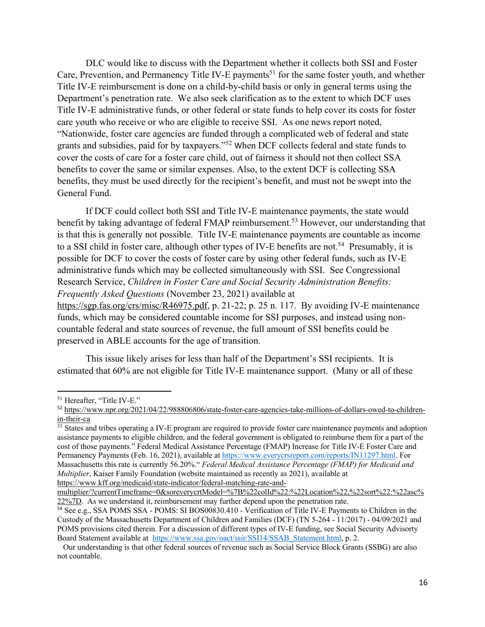DLC would like to discuss with the Department whether it collects both SSI and Foster Care, Prevention, and Permanency Title IV-E payments<sup>51</sup> for the same foster youth, and whether Title IV-E reimbursement is done on a child-by-child basis or only in general terms using the Department's penetration rate. We also seek clarification as to the extent to which DCF uses Title IV-E administrative funds, or other federal or state funds to help cover its costs for foster care youth who receive or who are eligible to receive SSI. As one news report noted, "Nationwide, foster care agencies are funded through a complicated web of federal and state grants and subsidies, paid for by taxpayers."52 When DCF collects federal and state funds to cover the costs of care for a foster care child, out of fairness it should not then collect SSA benefits to cover the same or similar expenses. Also, to the extent DCF is collecting SSA benefits, they must be used directly for the recipient's benefit, and must not be swept into the General Fund.

If DCF could collect both SSI and Title IV-E maintenance payments, the state would benefit by taking advantage of federal FMAP reimbursement.<sup>53</sup> However, our understanding that is that this is generally not possible. Title IV-E maintenance payments are countable as income to a SSI child in foster care, although other types of IV-E benefits are not.<sup>54</sup> Presumably, it is possible for DCF to cover the costs of foster care by using other federal funds, such as IV-E administrative funds which may be collected simultaneously with SSI. See Congressional Research Service, *Children in Foster Care and Social Security Administration Benefits: Frequently Asked Questions* (November 23, 2021) available at https://sgp.fas.org/crs/misc/R46975.pdf, p. 21-22; p. 25 n. 117. By avoiding IV-E maintenance funds, which may be considered countable income for SSI purposes, and instead using noncountable federal and state sources of revenue, the full amount of SSI benefits could be preserved in ABLE accounts for the age of transition.

This issue likely arises for less than half of the Department's SSI recipients. It is estimated that 60% are not eligible for Title IV-E maintenance support. (Many or all of these

<sup>51</sup> Hereafter, "Title IV-E."

<sup>52</sup> https://www.npr.org/2021/04/22/988806806/state-foster-care-agencies-take-millions-of-dollars-owed-to-children- $\frac{\text{in-their-ca}}{53}$  States and tribes operating a IV-E program are required to provide foster care maintenance payments and adoption

assistance payments to eligible children, and the federal government is obligated to reimburse them for a part of the cost of those payments." Federal Medical Assistance Percentage (FMAP) Increase for Title IV-E Foster Care and Permanency Payments (Feb. 16, 2021), available at https://www.everycrsreport.com/reports/IN11297.html. For Massachusetts this rate is currently 56.20%." *Federal Medical Assistance Percentage (FMAP) for Medicaid and Multiplier*, Kaiser Family Foundation (website maintained as recently as 2021), available at https://www.kff.org/medicaid/state-indicator/federal-matching-rate-and-

multiplier/?currentTimeframe=0&soreverycrtModel=%7B%22colId%22:%22Location%22,%22sort%22:%22asc% 22%7D. As we understand it, reimbursement may further depend upon the penetration rate.

<sup>&</sup>lt;sup>54</sup> See e.g., SSA POMS SSA - POMS: SI BOS00830.410 - Verification of Title IV-E Payments to Children in the Custody of the Massachusetts Department of Children and Families (DCF) (TN 5-264 - 11/2017) - 04/09/2021 and POMS provisions cited therein. For a discussion of different types of IV-E funding, see Social Security Advisorty Board Statement available at https://www.ssa.gov/oact/ssir/SSI14/SSAB\_Statement.html, p. 2.

Our understanding is that other federal sources of revenue such as Social Service Block Grants (SSBG) are also not countable.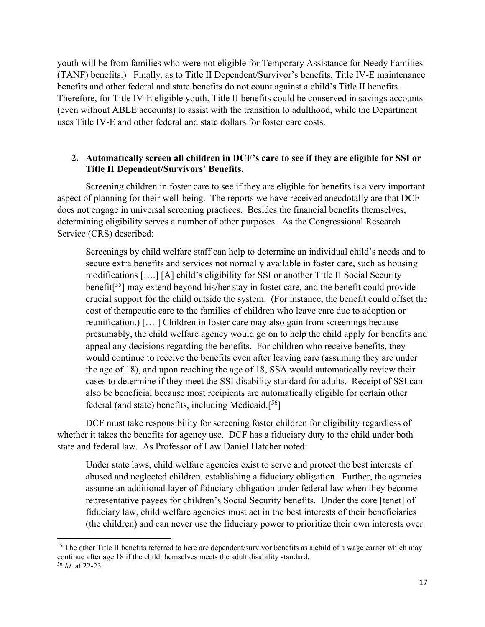youth will be from families who were not eligible for Temporary Assistance for Needy Families (TANF) benefits.) Finally, as to Title II Dependent/Survivor's benefits, Title IV-E maintenance benefits and other federal and state benefits do not count against a child's Title II benefits. Therefore, for Title IV-E eligible youth, Title II benefits could be conserved in savings accounts (even without ABLE accounts) to assist with the transition to adulthood, while the Department uses Title IV-E and other federal and state dollars for foster care costs.

#### **2. Automatically screen all children in DCF's care to see if they are eligible for SSI or Title II Dependent/Survivors' Benefits.**

Screening children in foster care to see if they are eligible for benefits is a very important aspect of planning for their well-being. The reports we have received anecdotally are that DCF does not engage in universal screening practices. Besides the financial benefits themselves, determining eligibility serves a number of other purposes. As the Congressional Research Service (CRS) described:

Screenings by child welfare staff can help to determine an individual child's needs and to secure extra benefits and services not normally available in foster care, such as housing modifications [….] [A] child's eligibility for SSI or another Title II Social Security benefit[ 55] may extend beyond his/her stay in foster care, and the benefit could provide crucial support for the child outside the system. (For instance, the benefit could offset the cost of therapeutic care to the families of children who leave care due to adoption or reunification.) [….] Children in foster care may also gain from screenings because presumably, the child welfare agency would go on to help the child apply for benefits and appeal any decisions regarding the benefits. For children who receive benefits, they would continue to receive the benefits even after leaving care (assuming they are under the age of 18), and upon reaching the age of 18, SSA would automatically review their cases to determine if they meet the SSI disability standard for adults. Receipt of SSI can also be beneficial because most recipients are automatically eligible for certain other federal (and state) benefits, including Medicaid.<sup>[56</sup>]

DCF must take responsibility for screening foster children for eligibility regardless of whether it takes the benefits for agency use. DCF has a fiduciary duty to the child under both state and federal law. As Professor of Law Daniel Hatcher noted:

Under state laws, child welfare agencies exist to serve and protect the best interests of abused and neglected children, establishing a fiduciary obligation. Further, the agencies assume an additional layer of fiduciary obligation under federal law when they become representative payees for children's Social Security benefits. Under the core [tenet] of fiduciary law, child welfare agencies must act in the best interests of their beneficiaries (the children) and can never use the fiduciary power to prioritize their own interests over

<sup>&</sup>lt;sup>55</sup> The other Title II benefits referred to here are dependent/survivor benefits as a child of a wage earner which may continue after age 18 if the child themselves meets the adult disability standard. 56 *Id*. at 22-23.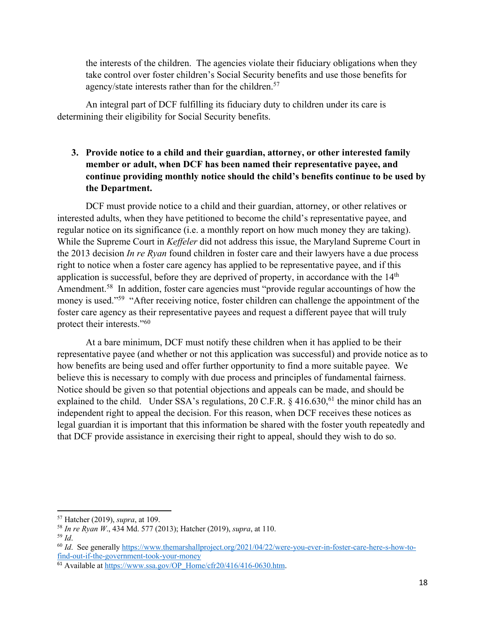the interests of the children. The agencies violate their fiduciary obligations when they take control over foster children's Social Security benefits and use those benefits for agency/state interests rather than for the children.<sup>57</sup>

An integral part of DCF fulfilling its fiduciary duty to children under its care is determining their eligibility for Social Security benefits.

# **3. Provide notice to a child and their guardian, attorney, or other interested family member or adult, when DCF has been named their representative payee, and continue providing monthly notice should the child's benefits continue to be used by the Department.**

DCF must provide notice to a child and their guardian, attorney, or other relatives or interested adults, when they have petitioned to become the child's representative payee, and regular notice on its significance (i.e. a monthly report on how much money they are taking). While the Supreme Court in *Keffeler* did not address this issue, the Maryland Supreme Court in the 2013 decision *In re Ryan* found children in foster care and their lawyers have a due process right to notice when a foster care agency has applied to be representative payee, and if this application is successful, before they are deprived of property, in accordance with the  $14<sup>th</sup>$ Amendment.<sup>58</sup> In addition, foster care agencies must "provide regular accountings of how the money is used."<sup>59</sup> "After receiving notice, foster children can challenge the appointment of the foster care agency as their representative payees and request a different payee that will truly protect their interests."60

At a bare minimum, DCF must notify these children when it has applied to be their representative payee (and whether or not this application was successful) and provide notice as to how benefits are being used and offer further opportunity to find a more suitable payee. We believe this is necessary to comply with due process and principles of fundamental fairness. Notice should be given so that potential objections and appeals can be made, and should be explained to the child. Under SSA's regulations, 20 C.F.R. § 416.630,<sup>61</sup> the minor child has an independent right to appeal the decision. For this reason, when DCF receives these notices as legal guardian it is important that this information be shared with the foster youth repeatedly and that DCF provide assistance in exercising their right to appeal, should they wish to do so.

<sup>57</sup> Hatcher (2019), *supra*, at 109.

<sup>58</sup> *In re Ryan W*., 434 Md. 577 (2013); Hatcher (2019), *supra*, at 110.

<sup>59</sup> *Id*.

<sup>&</sup>lt;sup>60</sup> *Id*. See generally https://www.themarshallproject.org/2021/04/22/were-you-ever-in-foster-care-here-s-how-tofind-out-if-the-government-took-your-money

 $61$  Available at https://www.ssa.gov/OP\_Home/cfr20/416/416-0630.htm.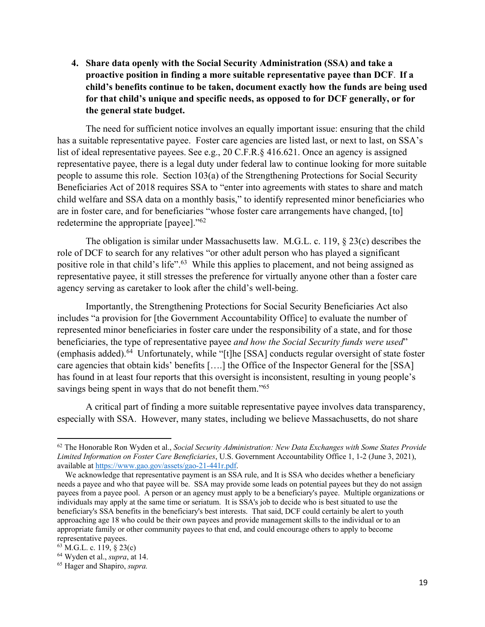**4. Share data openly with the Social Security Administration (SSA) and take a proactive position in finding a more suitable representative payee than DCF**. **If a child's benefits continue to be taken, document exactly how the funds are being used for that child's unique and specific needs, as opposed to for DCF generally, or for the general state budget.** 

The need for sufficient notice involves an equally important issue: ensuring that the child has a suitable representative payee. Foster care agencies are listed last, or next to last, on SSA's list of ideal representative payees. See e.g., 20 C.F.R.§ 416.621. Once an agency is assigned representative payee, there is a legal duty under federal law to continue looking for more suitable people to assume this role. Section 103(a) of the Strengthening Protections for Social Security Beneficiaries Act of 2018 requires SSA to "enter into agreements with states to share and match child welfare and SSA data on a monthly basis," to identify represented minor beneficiaries who are in foster care, and for beneficiaries "whose foster care arrangements have changed, [to] redetermine the appropriate [payee]."62

The obligation is similar under Massachusetts law. M.G.L. c. 119, § 23(c) describes the role of DCF to search for any relatives "or other adult person who has played a significant positive role in that child's life".<sup>63</sup> While this applies to placement, and not being assigned as representative payee, it still stresses the preference for virtually anyone other than a foster care agency serving as caretaker to look after the child's well-being.

Importantly, the Strengthening Protections for Social Security Beneficiaries Act also includes "a provision for [the Government Accountability Office] to evaluate the number of represented minor beneficiaries in foster care under the responsibility of a state, and for those beneficiaries, the type of representative payee *and how the Social Security funds were used*" (emphasis added).64 Unfortunately, while "[t]he [SSA] conducts regular oversight of state foster care agencies that obtain kids' benefits [….] the Office of the Inspector General for the [SSA] has found in at least four reports that this oversight is inconsistent, resulting in young people's savings being spent in ways that do not benefit them."<sup>65</sup>

A critical part of finding a more suitable representative payee involves data transparency, especially with SSA. However, many states, including we believe Massachusetts, do not share

<sup>62</sup> The Honorable Ron Wyden et al., *Social Security Administration: New Data Exchanges with Some States Provide Limited Information on Foster Care Beneficiaries*, U.S. Government Accountability Office 1, 1-2 (June 3, 2021), available at https://www.gao.gov/assets/gao-21-441r.pdf.

We acknowledge that representative payment is an SSA rule, and It is SSA who decides whether a beneficiary needs a payee and who that payee will be. SSA may provide some leads on potential payees but they do not assign payees from a payee pool. A person or an agency must apply to be a beneficiary's payee. Multiple organizations or individuals may apply at the same time or seriatum. It is SSA's job to decide who is best situated to use the beneficiary's SSA benefits in the beneficiary's best interests. That said, DCF could certainly be alert to youth approaching age 18 who could be their own payees and provide management skills to the individual or to an appropriate family or other community payees to that end, and could encourage others to apply to become representative payees.

 $63$  M.G.L. c. 119, § 23(c)

<sup>64</sup> Wyden et al., *supra*, at 14.

<sup>65</sup> Hager and Shapiro, *supra.*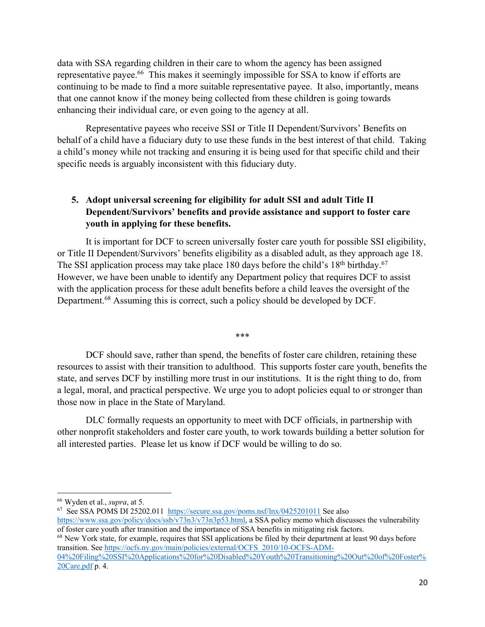data with SSA regarding children in their care to whom the agency has been assigned representative payee.66 This makes it seemingly impossible for SSA to know if efforts are continuing to be made to find a more suitable representative payee. It also, importantly, means that one cannot know if the money being collected from these children is going towards enhancing their individual care, or even going to the agency at all.

Representative payees who receive SSI or Title II Dependent/Survivors' Benefits on behalf of a child have a fiduciary duty to use these funds in the best interest of that child. Taking a child's money while not tracking and ensuring it is being used for that specific child and their specific needs is arguably inconsistent with this fiduciary duty.

# **5. Adopt universal screening for eligibility for adult SSI and adult Title II Dependent/Survivors' benefits and provide assistance and support to foster care youth in applying for these benefits.**

It is important for DCF to screen universally foster care youth for possible SSI eligibility, or Title II Dependent/Survivors' benefits eligibility as a disabled adult, as they approach age 18. The SSI application process may take place 180 days before the child's  $18<sup>th</sup>$  birthday.<sup>67</sup> However, we have been unable to identify any Department policy that requires DCF to assist with the application process for these adult benefits before a child leaves the oversight of the Department.<sup>68</sup> Assuming this is correct, such a policy should be developed by DCF.

\*\*\*

DCF should save, rather than spend, the benefits of foster care children, retaining these resources to assist with their transition to adulthood. This supports foster care youth, benefits the state, and serves DCF by instilling more trust in our institutions. It is the right thing to do, from a legal, moral, and practical perspective. We urge you to adopt policies equal to or stronger than those now in place in the State of Maryland.

DLC formally requests an opportunity to meet with DCF officials, in partnership with other nonprofit stakeholders and foster care youth, to work towards building a better solution for all interested parties. Please let us know if DCF would be willing to do so.

<sup>68</sup> New York state, for example, requires that SSI applications be filed by their department at least 90 days before transition. See https://ocfs.ny.gov/main/policies/external/OCFS\_2010/10-OCFS-ADM-

04%20Filing%20SSI%20Applications%20for%20Disabled%20Youth%20Transitioning%20Out%20of%20Foster% 20Care.pdf p. 4.

<sup>66</sup> Wyden et al., *supra*, at 5.

<sup>67</sup> See SSA POMS DI 25202.011 https://secure.ssa.gov/poms.nsf/lnx/0425201011 See also https://www.ssa.gov/policy/docs/ssb/v73n3/v73n3p53.html, a SSA policy memo which discusses the vulnerability of foster care youth after transition and the importance of SSA benefits in mitigating risk factors.